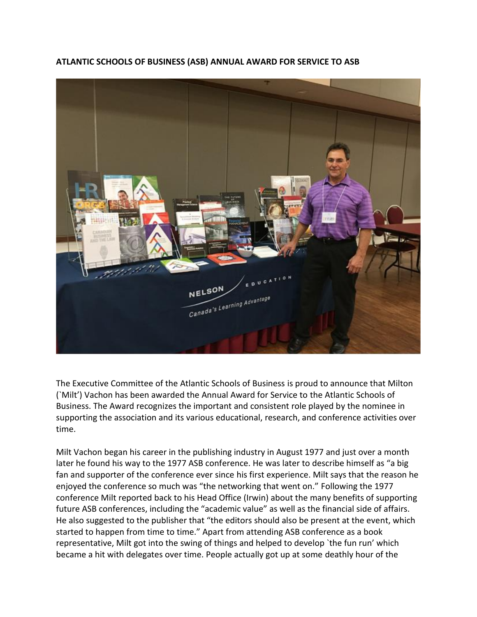

**ATLANTIC SCHOOLS OF BUSINESS (ASB) ANNUAL AWARD FOR SERVICE TO ASB**

The Executive Committee of the Atlantic Schools of Business is proud to announce that Milton (`Milt') Vachon has been awarded the Annual Award for Service to the Atlantic Schools of Business. The Award recognizes the important and consistent role played by the nominee in supporting the association and its various educational, research, and conference activities over time.

Milt Vachon began his career in the publishing industry in August 1977 and just over a month later he found his way to the 1977 ASB conference. He was later to describe himself as "a big fan and supporter of the conference ever since his first experience. Milt says that the reason he enjoyed the conference so much was "the networking that went on." Following the 1977 conference Milt reported back to his Head Office (Irwin) about the many benefits of supporting future ASB conferences, including the "academic value" as well as the financial side of affairs. He also suggested to the publisher that "the editors should also be present at the event, which started to happen from time to time." Apart from attending ASB conference as a book representative, Milt got into the swing of things and helped to develop 'the fun run' which became a hit with delegates over time. People actually got up at some deathly hour of the